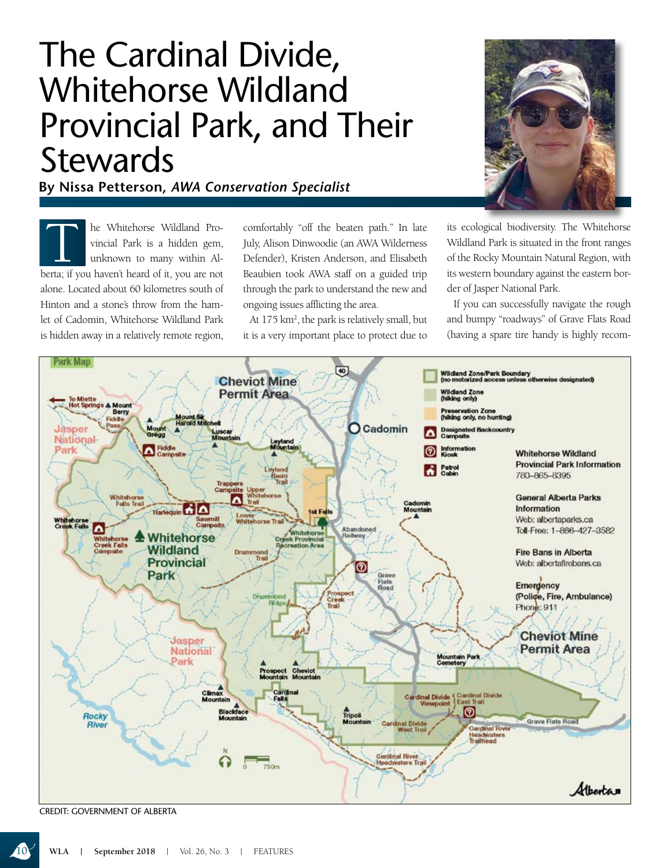## The Cardinal Divide, Whitehorse Wildland Provincial Park, and Their **Stewards**

**By Nissa Petterson,** *AWA Conservation Specialist*

The Whitehorse Wildland Provincial Park is a hidden gem,<br>unknown to many within Alerta: if you haven't heard of it you are not vincial Park is a hidden gem, unknown to many within Alberta; if you haven't heard of it, you are not alone. Located about 60 kilometres south of Hinton and a stone's throw from the hamlet of Cadomin, Whitehorse Wildland Park is hidden away in a relatively remote region,

comfortably "off the beaten path." In late July, Alison Dinwoodie (an AWA Wilderness Defender), Kristen Anderson, and Elisabeth Beaubien took AWA staff on a guided trip through the park to understand the new and ongoing issues afflicting the area.

At 175 km<sup>2</sup>, the park is relatively small, but it is a very important place to protect due to



its ecological biodiversity. The Whitehorse Wildland Park is situated in the front ranges of the Rocky Mountain Natural Region, with its western boundary against the eastern border of Jasper National Park.

If you can successfully navigate the rough and bumpy "roadways" of Grave Flats Road (having a spare tire handy is highly recom-



CREDIT: GOVERNMENT OF ALBERTA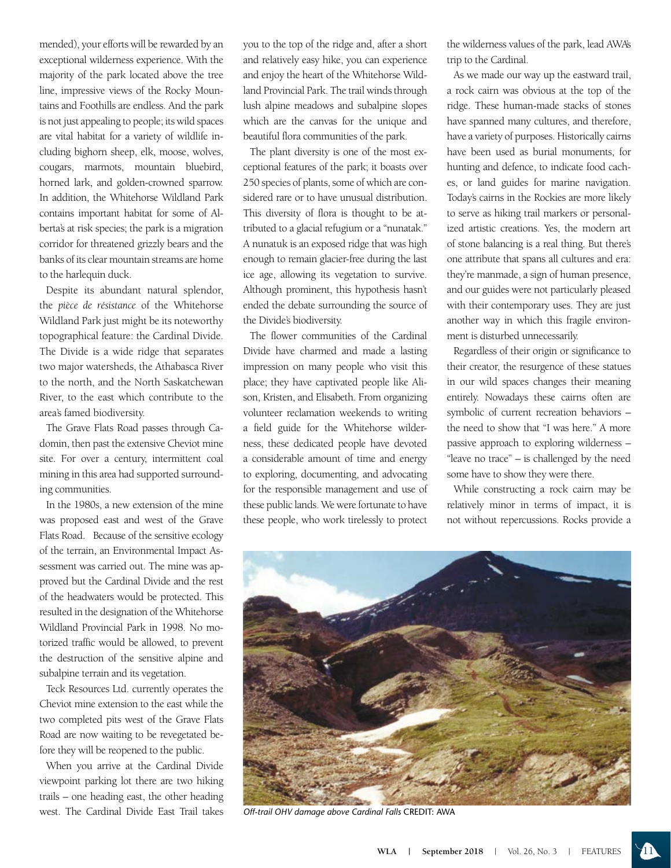mended), your efforts will be rewarded by an exceptional wilderness experience. With the majority of the park located above the tree line, impressive views of the Rocky Mountains and Foothills are endless. And the park is not just appealing to people; its wild spaces are vital habitat for a variety of wildlife including bighorn sheep, elk, moose, wolves, cougars, marmots, mountain bluebird, horned lark, and golden-crowned sparrow. In addition, the Whitehorse Wildland Park contains important habitat for some of Alberta's at risk species; the park is a migration corridor for threatened grizzly bears and the banks of its clear mountain streams are home to the harlequin duck.

Despite its abundant natural splendor, the *pièce de résistance* of the Whitehorse Wildland Park just might be its noteworthy topographical feature: the Cardinal Divide. The Divide is a wide ridge that separates two major watersheds, the Athabasca River to the north, and the North Saskatchewan River, to the east which contribute to the area's famed biodiversity.

The Grave Flats Road passes through Cadomin, then past the extensive Cheviot mine site. For over a century, intermittent coal mining in this area had supported surrounding communities.

In the 1980s, a new extension of the mine was proposed east and west of the Grave Flats Road. Because of the sensitive ecology of the terrain, an Environmental Impact Assessment was carried out. The mine was approved but the Cardinal Divide and the rest of the headwaters would be protected. This resulted in the designation of the Whitehorse Wildland Provincial Park in 1998. No motorized traffic would be allowed, to prevent the destruction of the sensitive alpine and subalpine terrain and its vegetation.

Teck Resources Ltd. currently operates the Cheviot mine extension to the east while the two completed pits west of the Grave Flats Road are now waiting to be revegetated before they will be reopened to the public.

When you arrive at the Cardinal Divide viewpoint parking lot there are two hiking trails – one heading east, the other heading west. The Cardinal Divide East Trail takes you to the top of the ridge and, after a short and relatively easy hike, you can experience and enjoy the heart of the Whitehorse Wildland Provincial Park. The trail winds through lush alpine meadows and subalpine slopes which are the canvas for the unique and beautiful flora communities of the park.

The plant diversity is one of the most exceptional features of the park; it boasts over 250 species of plants, some of which are considered rare or to have unusual distribution. This diversity of flora is thought to be attributed to a glacial refugium or a "nunatak." A nunatuk is an exposed ridge that was high enough to remain glacier-free during the last ice age, allowing its vegetation to survive. Although prominent, this hypothesis hasn't ended the debate surrounding the source of the Divide's biodiversity.

The flower communities of the Cardinal Divide have charmed and made a lasting impression on many people who visit this place; they have captivated people like Alison, Kristen, and Elisabeth. From organizing volunteer reclamation weekends to writing a field guide for the Whitehorse wilderness, these dedicated people have devoted a considerable amount of time and energy to exploring, documenting, and advocating for the responsible management and use of these public lands. We were fortunate to have these people, who work tirelessly to protect

the wilderness values of the park, lead AWA's trip to the Cardinal.

As we made our way up the eastward trail, a rock cairn was obvious at the top of the ridge. These human-made stacks of stones have spanned many cultures, and therefore, have a variety of purposes. Historically cairns have been used as burial monuments, for hunting and defence, to indicate food caches, or land guides for marine navigation. Today's cairns in the Rockies are more likely to serve as hiking trail markers or personalized artistic creations. Yes, the modern art of stone balancing is a real thing. But there's one attribute that spans all cultures and era: they're manmade, a sign of human presence, and our guides were not particularly pleased with their contemporary uses. They are just another way in which this fragile environment is disturbed unnecessarily.

Regardless of their origin or significance to their creator, the resurgence of these statues in our wild spaces changes their meaning entirely. Nowadays these cairns often are symbolic of current recreation behaviors – the need to show that "I was here." A more passive approach to exploring wilderness – "leave no trace" – is challenged by the need some have to show they were there.

While constructing a rock cairn may be relatively minor in terms of impact, it is not without repercussions. Rocks provide a



*Off-trail OHV damage above Cardinal Falls* CREDIT: AWA